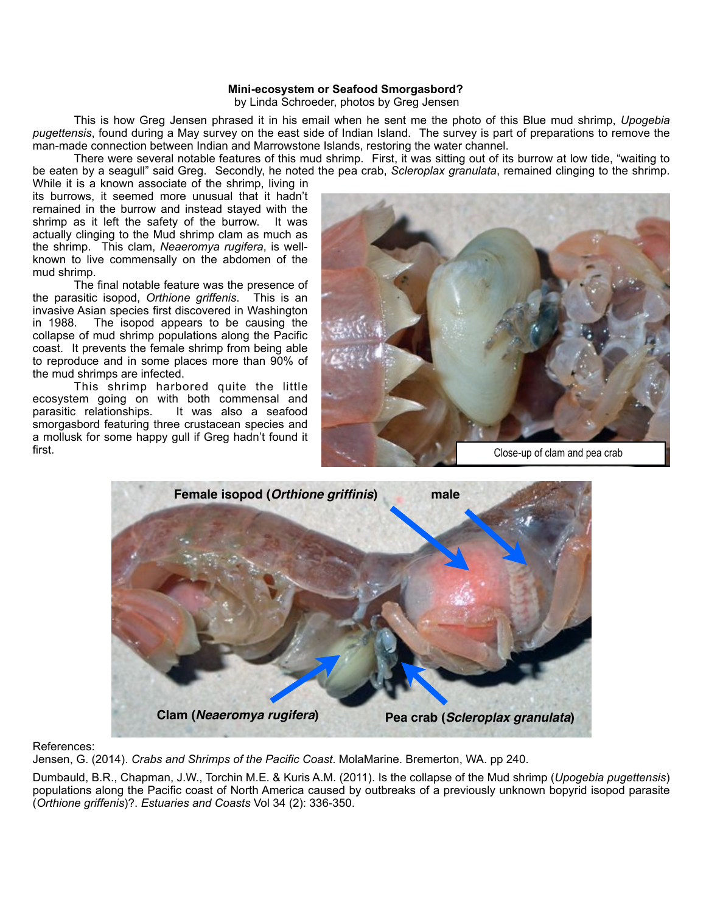## **Mini-ecosystem or Seafood Smorgasbord?**

by Linda Schroeder, photos by Greg Jensen

 This is how Greg Jensen phrased it in his email when he sent me the photo of this Blue mud shrimp, *Upogebia pugettensis*, found during a May survey on the east side of Indian Island. The survey is part of preparations to remove the man-made connection between Indian and Marrowstone Islands, restoring the water channel.

 There were several notable features of this mud shrimp. First, it was sitting out of its burrow at low tide, "waiting to be eaten by a seagull" said Greg. Secondly, he noted the pea crab, *Scleroplax granulata*, remained clinging to the shrimp.

While it is a known associate of the shrimp, living in its burrows, it seemed more unusual that it hadn't remained in the burrow and instead stayed with the shrimp as it left the safety of the burrow. It was actually clinging to the Mud shrimp clam as much as the shrimp. This clam, *Neaeromya rugifera*, is wellknown to live commensally on the abdomen of the mud shrimp.

 The final notable feature was the presence of the parasitic isopod, *Orthione griffenis*. This is an invasive Asian species first discovered in Washington in 1988. The isopod appears to be causing the collapse of mud shrimp populations along the Pacific coast. It prevents the female shrimp from being able to reproduce and in some places more than 90% of the mud shrimps are infected.

 This shrimp harbored quite the little ecosystem going on with both commensal and parasitic relationships. It was also a seafood It was also a seafood smorgasbord featuring three crustacean species and a mollusk for some happy gull if Greg hadn't found it first.



Close-up of clam and pea crab



References:

Jensen, G. (2014). *Crabs and Shrimps of the Pacific Coast*. MolaMarine. Bremerton, WA. pp 240.

Dumbauld, B.R., Chapman, J.W., Torchin M.E. & Kuris A.M. (2011). Is the collapse of the Mud shrimp (*Upogebia pugettensis*) populations along the Pacific coast of North America caused by outbreaks of a previously unknown bopyrid isopod parasite (*Orthione griffenis*)?. *Estuaries and Coasts* Vol 34 (2): 336-350.